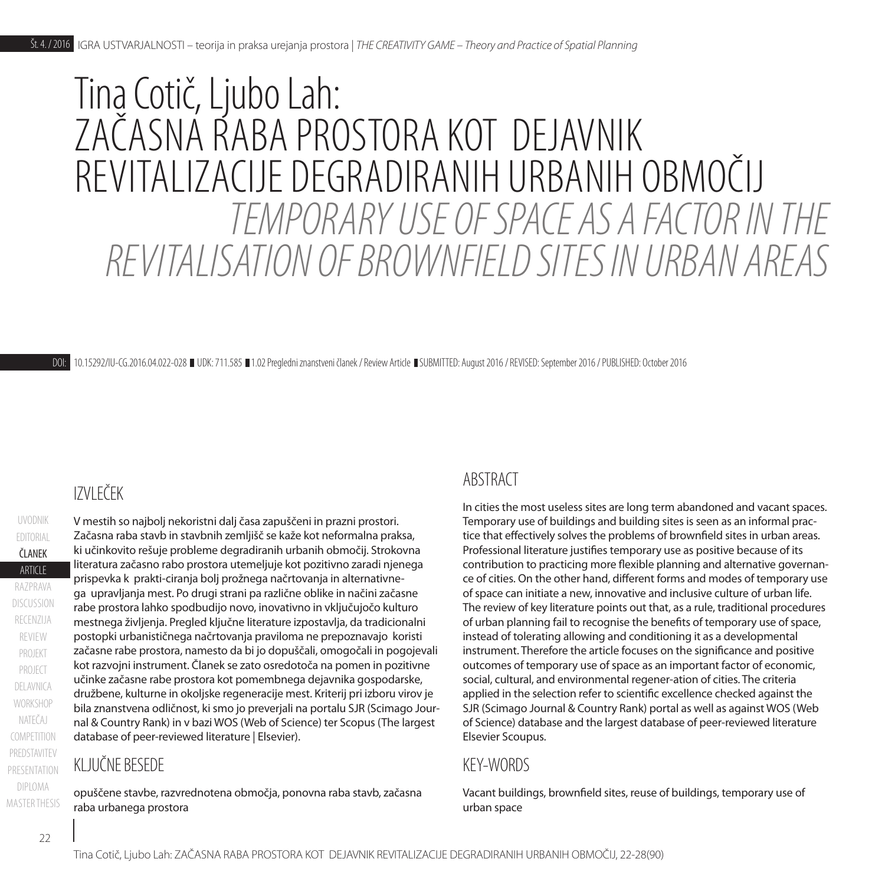# *TEMPORARY USE OF SPACE AS A FACTOR IN THE REVITALISATION OF BROWNFIELD SITES IN URBAN AREAS* Tina Cotič, Ljubo Lah: ZAČASNA RABA PROSTORA KOT DEJAVNIK REVITALIZACIJE DEGRADIRANIH URBANIH OBMOČIJ

DOI: [10.15292/IU-CG.2016](http://dx.doi.org/10.15292/IU-CG.2016.04.022).04.022-028 UDK: 711.585 1.02 Pregledni znanstveni članek / Review Article SUBMITTED: August 2016 / REVISED: September 2016 / PUBLISHED: October 2016

# IZVLEČEK

PROJECT PROJEKT **ARTICLE** ČLANEK **COMPETITION** UVODNIK NATEČAJ **WORKSHOP** DELAVNICA razprava recenzija EDITORIAL discussion review V mestih so najbolj nekoristni dalj časa zapuščeni in prazni prostori. Začasna raba stavb in stavbnih zemljišč se kaže kot neformalna praksa, ki učinkovito rešuje probleme degradiranih urbanih območij. Strokovna literatura začasno rabo prostora utemeljuje kot pozitivno zaradi njenega prispevka k prakti-ciranja bolj prožnega načrtovanja in alternativnega upravljanja mest. Po drugi strani pa različne oblike in načini začasne rabe prostora lahko spodbudijo novo, inovativno in vključujočo kulturo mestnega življenja. Pregled ključne literature izpostavlja, da tradicionalni postopki urbanističnega načrtovanja praviloma ne prepoznavajo koristi začasne rabe prostora, namesto da bi jo dopuščali, omogočali in pogojevali kot razvojni instrument. Članek se zato osredotoča na pomen in pozitivne učinke začasne rabe prostora kot pomembnega dejavnika gospodarske, družbene, kulturne in okoljske regeneracije mest. Kriterij pri izboru virov je bila znanstvena odličnost, ki smo jo preverjali na portalu SJR (Scimago Journal & Country Rank) in v bazi WOS (Web of Science) ter Scopus (The largest database of peer-reviewed literature | Elsevier).

#### KLJUČNE BESEDE

opuščene stavbe, razvrednotena območja, ponovna raba stavb, začasna raba urbanega prostora

#### ABSTRACT

In cities the most useless sites are long term abandoned and vacant spaces. Temporary use of buildings and building sites is seen as an informal practice that effectively solves the problems of brownfield sites in urban areas. Professional literature justifies temporary use as positive because of its contribution to practicing more flexible planning and alternative governance of cities. On the other hand, different forms and modes of temporary use of space can initiate a new, innovative and inclusive culture of urban life. The review of key literature points out that, as a rule, traditional procedures of urban planning fail to recognise the benefits of temporary use of space, instead of tolerating allowing and conditioning it as a developmental instrument. Therefore the article focuses on the significance and positive outcomes of temporary use of space as an important factor of economic, social, cultural, and environmental regener-ation of cities. The criteria applied in the selection refer to scientific excellence checked against the SJR (Scimago Journal & Country Rank) portal as well as against WOS (Web of Science) database and the largest database of peer-reviewed literature Elsevier Scoupus.

#### KEY-WORDS

Vacant buildings, brownfield sites, reuse of buildings, temporary use of urban space

PREDSTAVITEV

presentation

DIPLOMA **MASTER THESIS**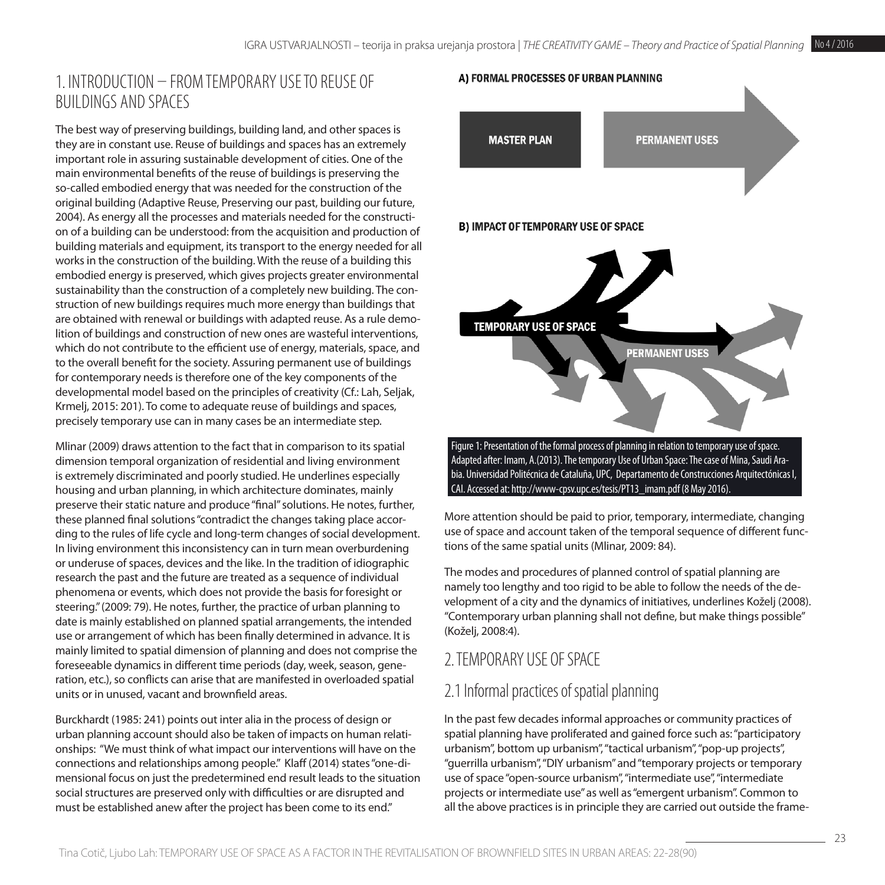# 1. Introduction – from temporary use to reuse of buildings and spaces

The best way of preserving buildings, building land, and other spaces is they are in constant use. Reuse of buildings and spaces has an extremely important role in assuring sustainable development of cities. One of the main environmental benefits of the reuse of buildings is preserving the so-called embodied energy that was needed for the construction of the original building (Adaptive Reuse, Preserving our past, building our future, 2004). As energy all the processes and materials needed for the construction of a building can be understood: from the acquisition and production of building materials and equipment, its transport to the energy needed for all works in the construction of the building. With the reuse of a building this embodied energy is preserved, which gives projects greater environmental sustainability than the construction of a completely new building. The construction of new buildings requires much more energy than buildings that are obtained with renewal or buildings with adapted reuse. As a rule demolition of buildings and construction of new ones are wasteful interventions, which do not contribute to the efficient use of energy, materials, space, and to the overall benefit for the society. Assuring permanent use of buildings for contemporary needs is therefore one of the key components of the developmental model based on the principles of creativity (Cf.: Lah, Seljak, Krmelj, 2015: 201). To come to adequate reuse of buildings and spaces, precisely temporary use can in many cases be an intermediate step.

Mlinar (2009) draws attention to the fact that in comparison to its spatial dimension temporal organization of residential and living environment is extremely discriminated and poorly studied. He underlines especially housing and urban planning, in which architecture dominates, mainly preserve their static nature and produce "final" solutions. He notes, further, these planned final solutions "contradict the changes taking place according to the rules of life cycle and long-term changes of social development. In living environment this inconsistency can in turn mean overburdening or underuse of spaces, devices and the like. In the tradition of idiographic research the past and the future are treated as a sequence of individual phenomena or events, which does not provide the basis for foresight or steering." (2009: 79). He notes, further, the practice of urban planning to date is mainly established on planned spatial arrangements, the intended use or arrangement of which has been finally determined in advance. It is mainly limited to spatial dimension of planning and does not comprise the foreseeable dynamics in different time periods (day, week, season, generation, etc.), so conflicts can arise that are manifested in overloaded spatial units or in unused, vacant and brownfield areas.

Burckhardt (1985: 241) points out inter alia in the process of design or urban planning account should also be taken of impacts on human relationships: "We must think of what impact our interventions will have on the connections and relationships among people." Klaff (2014) states "one-dimensional focus on just the predetermined end result leads to the situation social structures are preserved only with difficulties or are disrupted and must be established anew after the project has been come to its end."

#### A) FORMAL PROCESSES OF URBAN PLANNING



Adapted after: Imam, A.(2013). The temporary Use of Urban Space: The case of Mina, Saudi Arabia. Universidad Politécnica de Cataluña, UPC, Departamento de Construcciones Arquitectónicas I, CAI. Accessed at: [http://www-cpsv.upc.es/tesis/PT13\\_imam.pdf](http://www-cpsv.upc.es/tesis/PT13_imam.pdf) (8 May 2016).

More attention should be paid to prior, temporary, intermediate, changing use of space and account taken of the temporal sequence of different functions of the same spatial units (Mlinar, 2009: 84).

The modes and procedures of planned control of spatial planning are namely too lengthy and too rigid to be able to follow the needs of the development of a city and the dynamics of initiatives, underlines Koželj (2008). "Contemporary urban planning shall not define, but make things possible" (Koželj, 2008:4).

# 2. TEMPORARY USE OFSPACE

# 2.1 Informal practices of spatial planning

In the past few decades informal approaches or community practices of spatial planning have proliferated and gained force such as: "participatory urbanism", bottom up urbanism", "tactical urbanism", "pop-up projects", "guerrilla urbanism", "DIY urbanism" and "temporary projects or temporary use of space "open-source urbanism", "intermediate use", "intermediate projects or intermediate use" as well as "emergent urbanism". Common to all the above practices is in principle they are carried out outside the frame-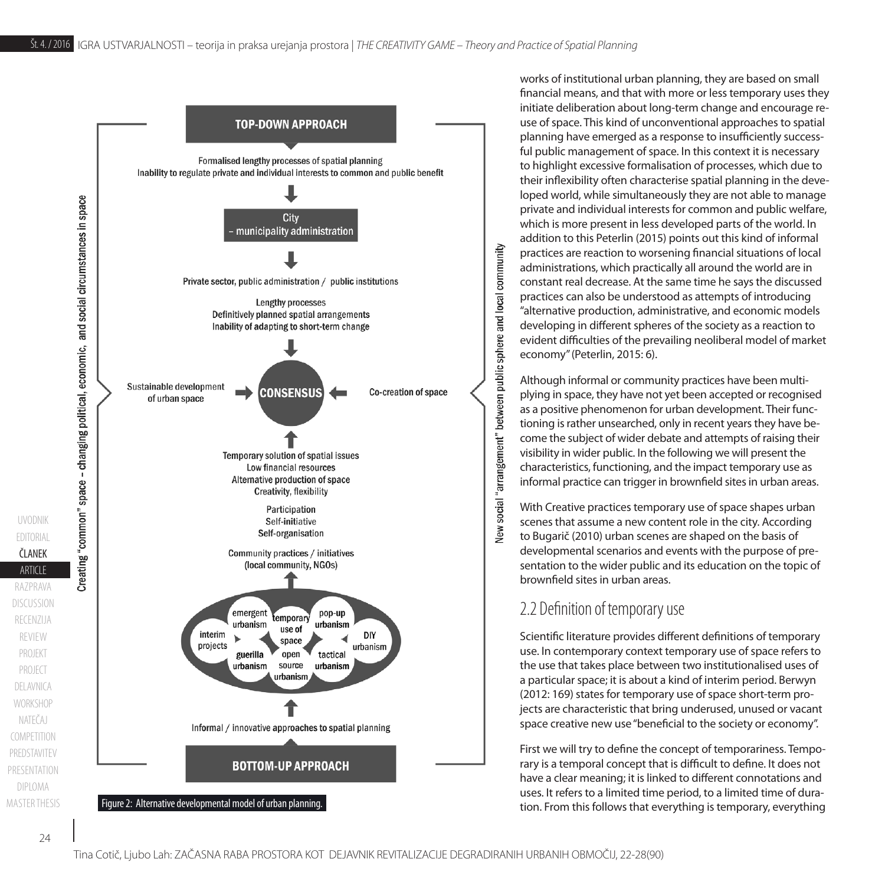

works of institutional urban planning, they are based on small financial means, and that with more or less temporary uses they initiate deliberation about long-term change and encourage reuse of space. This kind of unconventional approaches to spatial planning have emerged as a response to insufficiently successful public management of space. In this context it is necessary to highlight excessive formalisation of processes, which due to their inflexibility often characterise spatial planning in the developed world, while simultaneously they are not able to manage private and individual interests for common and public welfare, which is more present in less developed parts of the world. In addition to this Peterlin (2015) points out this kind of informal practices are reaction to worsening financial situations of local administrations, which practically all around the world are in constant real decrease. At the same time he says the discussed practices can also be understood as attempts of introducing "alternative production, administrative, and economic models developing in different spheres of the society as a reaction to evident difficulties of the prevailing neoliberal model of market economy" (Peterlin, 2015: 6).

Although informal or community practices have been multiplying in space, they have not yet been accepted or recognised as a positive phenomenon for urban development. Their functioning is rather unsearched, only in recent years they have become the subject of wider debate and attempts of raising their visibility in wider public. In the following we will present the characteristics, functioning, and the impact temporary use as informal practice can trigger in brownfield sites in urban areas.

With Creative practices temporary use of space shapes urban scenes that assume a new content role in the city. According to Bugarič (2010) urban scenes are shaped on the basis of developmental scenarios and events with the purpose of presentation to the wider public and its education on the topic of brownfield sites in urban areas.

# 2.2 Definition of temporary use

Scientific literature provides different definitions of temporary use. In contemporary context temporary use of space refers to the use that takes place between two institutionalised uses of a particular space; it is about a kind of interim period. Berwyn (2012: 169) states for temporary use of space short-term projects are characteristic that bring underused, unused or vacant space creative new use "beneficial to the society or economy".

First we will try to define the concept of temporariness. Temporary is a temporal concept that is difficult to define. It does not have a clear meaning; it is linked to different connotations and uses. It refers to a limited time period, to a limited time of dura-

PROJECT PROJEKT

**COMPETITION** 

PREDSTAVITEV

presentation

DIPLOMA **MASTER THESIS** 

NATEČAJ **WORKSHOP** DELAVNICA

**ARTICLE** ČLANEK

razprava

recenzija

review

discussion

UVODNIK

EDITORIAL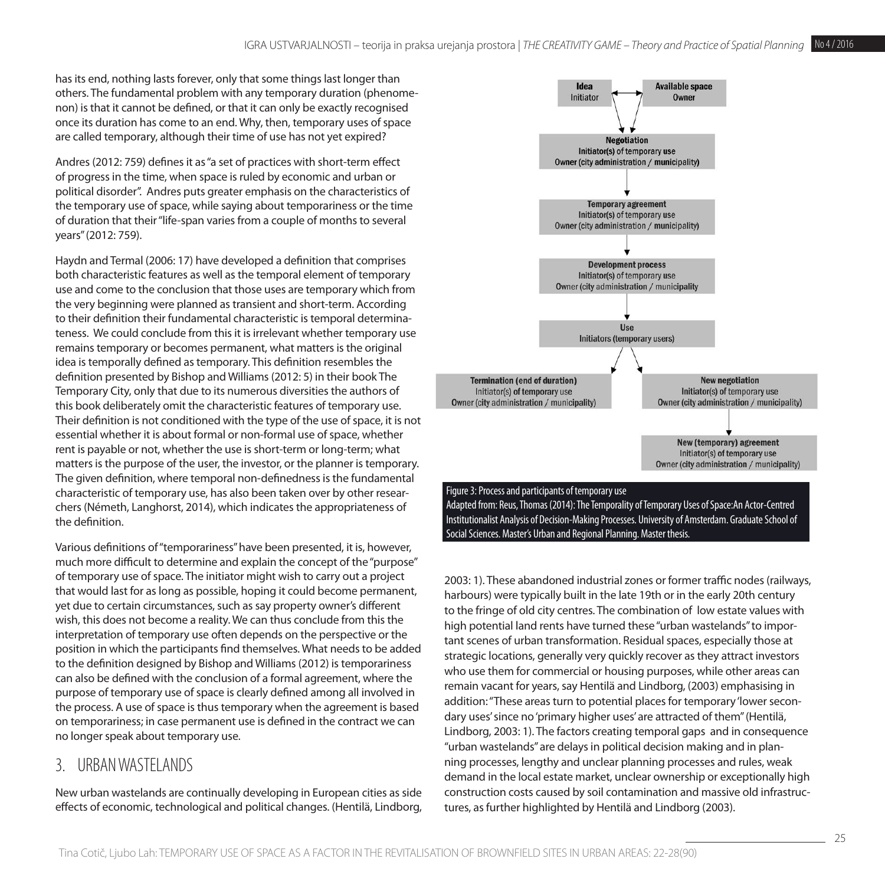has its end, nothing lasts forever, only that some things last longer than others. The fundamental problem with any temporary duration (phenomenon) is that it cannot be defined, or that it can only be exactly recognised once its duration has come to an end. Why, then, temporary uses of space are called temporary, although their time of use has not yet expired?

Andres (2012: 759) defines it as "a set of practices with short-term effect of progress in the time, when space is ruled by economic and urban or political disorder". Andres puts greater emphasis on the characteristics of the temporary use of space, while saying about temporariness or the time of duration that their "life-span varies from a couple of months to several years" (2012: 759).

Haydn and Termal (2006: 17) have developed a definition that comprises both characteristic features as well as the temporal element of temporary use and come to the conclusion that those uses are temporary which from the very beginning were planned as transient and short-term. According to their definition their fundamental characteristic is temporal determinateness. We could conclude from this it is irrelevant whether temporary use remains temporary or becomes permanent, what matters is the original idea is temporally defined as temporary. This definition resembles the definition presented by Bishop and Williams (2012: 5) in their book The Temporary City, only that due to its numerous diversities the authors of this book deliberately omit the characteristic features of temporary use. Their definition is not conditioned with the type of the use of space, it is not essential whether it is about formal or non-formal use of space, whether rent is payable or not, whether the use is short-term or long-term; what matters is the purpose of the user, the investor, or the planner is temporary. The given definition, where temporal non-definedness is the fundamental characteristic of temporary use, has also been taken over by other researchers (Németh, Langhorst, 2014), which indicates the appropriateness of the definition.

Various definitions of "temporariness" have been presented, it is, however, much more difficult to determine and explain the concept of the "purpose" of temporary use of space. The initiator might wish to carry out a project that would last for as long as possible, hoping it could become permanent, yet due to certain circumstances, such as say property owner's different wish, this does not become a reality. We can thus conclude from this the interpretation of temporary use often depends on the perspective or the position in which the participants find themselves. What needs to be added to the definition designed by Bishop and Williams (2012) is temporariness can also be defined with the conclusion of a formal agreement, where the purpose of temporary use of space is clearly defined among all involved in the process. A use of space is thus temporary when the agreement is based on temporariness; in case permanent use is defined in the contract we can no longer speak about temporary use.

#### 3. URBAN WASTELANDS

New urban wastelands are continually developing in European cities as side effects of economic, technological and political changes. (Hentilä, Lindborg,



Institutionalist Analysis of Decision-Making Processes. University of Amsterdam. Graduate School of Social Sciences. Master's Urban and Regional Planning. Master thesis.

2003: 1). These abandoned industrial zones or former traffic nodes (railways, harbours) were typically built in the late 19th or in the early 20th century to the fringe of old city centres. The combination of low estate values with high potential land rents have turned these "urban wastelands" to important scenes of urban transformation. Residual spaces, especially those at strategic locations, generally very quickly recover as they attract investors who use them for commercial or housing purposes, while other areas can remain vacant for years, say Hentilä and Lindborg, (2003) emphasising in addition: "These areas turn to potential places for temporary 'lower secondary uses' since no 'primary higher uses' are attracted of them" (Hentilä, Lindborg, 2003: 1). The factors creating temporal gaps and in consequence "urban wastelands" are delays in political decision making and in planning processes, lengthy and unclear planning processes and rules, weak demand in the local estate market, unclear ownership or exceptionally high construction costs caused by soil contamination and massive old infrastructures, as further highlighted by Hentilä and Lindborg (2003).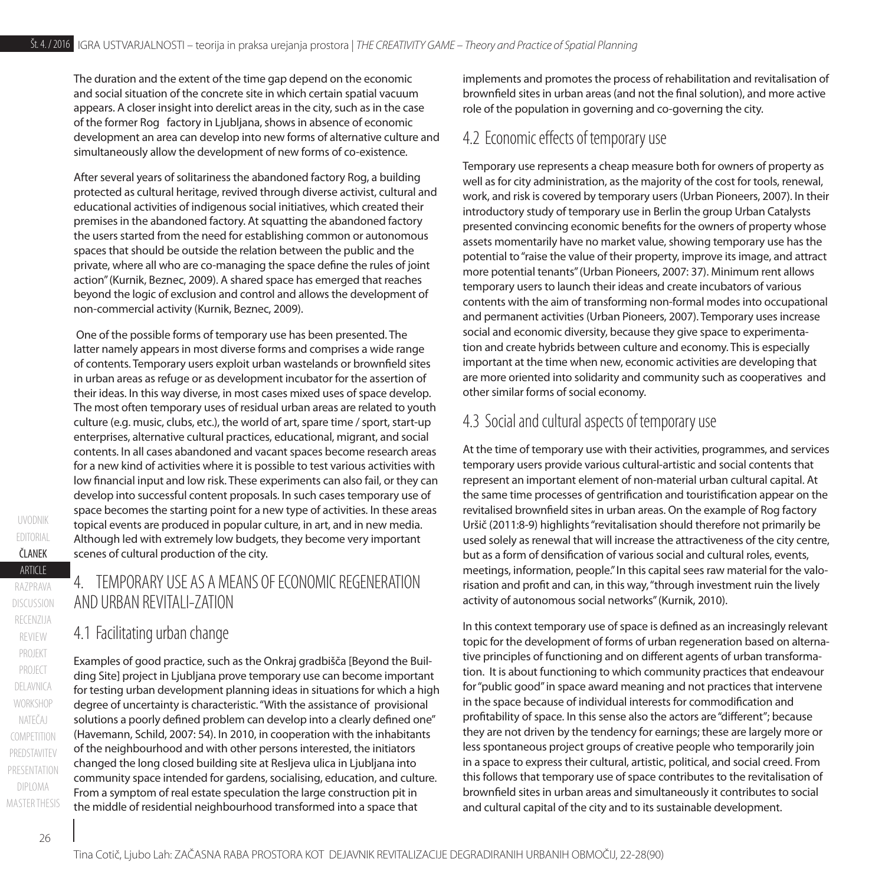The duration and the extent of the time gap depend on the economic and social situation of the concrete site in which certain spatial vacuum appears. A closer insight into derelict areas in the city, such as in the case of the former Rog factory in Ljubljana, shows in absence of economic development an area can develop into new forms of alternative culture and simultaneously allow the development of new forms of co-existence.

After several years of solitariness the abandoned factory Rog, a building protected as cultural heritage, revived through diverse activist, cultural and educational activities of indigenous social initiatives, which created their premises in the abandoned factory. At squatting the abandoned factory the users started from the need for establishing common or autonomous spaces that should be outside the relation between the public and the private, where all who are co-managing the space define the rules of joint action" (Kurnik, Beznec, 2009). A shared space has emerged that reaches beyond the logic of exclusion and control and allows the development of non-commercial activity (Kurnik, Beznec, 2009).

 One of the possible forms of temporary use has been presented. The latter namely appears in most diverse forms and comprises a wide range of contents. Temporary users exploit urban wastelands or brownfield sites in urban areas as refuge or as development incubator for the assertion of their ideas. In this way diverse, in most cases mixed uses of space develop. The most often temporary uses of residual urban areas are related to youth culture (e.g. music, clubs, etc.), the world of art, spare time / sport, start-up enterprises, alternative cultural practices, educational, migrant, and social contents. In all cases abandoned and vacant spaces become research areas for a new kind of activities where it is possible to test various activities with low financial input and low risk. These experiments can also fail, or they can develop into successful content proposals. In such cases temporary use of space becomes the starting point for a new type of activities. In these areas topical events are produced in popular culture, in art, and in new media. Although led with extremely low budgets, they become very important scenes of cultural production of the city.

# 4 TEMPORARY LISE AS A MEANS OF ECONOMIC REGENERATION AND URBAN REVITALI-ZATION

#### 4.1 Facilitating urban change

Examples of good practice, such as the Onkraj gradbišča [Beyond the Building Site] project in Ljubljana prove temporary use can become important for testing urban development planning ideas in situations for which a high degree of uncertainty is characteristic. "With the assistance of provisional solutions a poorly defined problem can develop into a clearly defined one" (Havemann, Schild, 2007: 54). In 2010, in cooperation with the inhabitants of the neighbourhood and with other persons interested, the initiators changed the long closed building site at Resljeva ulica in Ljubljana into community space intended for gardens, socialising, education, and culture. From a symptom of real estate speculation the large construction pit in the middle of residential neighbourhood transformed into a space that

implements and promotes the process of rehabilitation and revitalisation of brownfield sites in urban areas (and not the final solution), and more active role of the population in governing and co-governing the city.

## 4.2 Economic effects of temporary use

Temporary use represents a cheap measure both for owners of property as well as for city administration, as the majority of the cost for tools, renewal, work, and risk is covered by temporary users (Urban Pioneers, 2007). In their introductory study of temporary use in Berlin the group Urban Catalysts presented convincing economic benefits for the owners of property whose assets momentarily have no market value, showing temporary use has the potential to "raise the value of their property, improve its image, and attract more potential tenants" (Urban Pioneers, 2007: 37). Minimum rent allows temporary users to launch their ideas and create incubators of various contents with the aim of transforming non-formal modes into occupational and permanent activities (Urban Pioneers, 2007). Temporary uses increase social and economic diversity, because they give space to experimentation and create hybrids between culture and economy. This is especially important at the time when new, economic activities are developing that are more oriented into solidarity and community such as cooperatives and other similar forms of social economy.

## 4.3 Social and cultural aspects of temporary use

At the time of temporary use with their activities, programmes, and services temporary users provide various cultural-artistic and social contents that represent an important element of non-material urban cultural capital. At the same time processes of gentrification and touristification appear on the revitalised brownfield sites in urban areas. On the example of Rog factory Uršič (2011:8-9) highlights "revitalisation should therefore not primarily be used solely as renewal that will increase the attractiveness of the city centre, but as a form of densification of various social and cultural roles, events, meetings, information, people." In this capital sees raw material for the valorisation and profit and can, in this way, "through investment ruin the lively activity of autonomous social networks" (Kurnik, 2010).

In this context temporary use of space is defined as an increasingly relevant topic for the development of forms of urban regeneration based on alternative principles of functioning and on different agents of urban transformation. It is about functioning to which community practices that endeavour for "public good" in space award meaning and not practices that intervene in the space because of individual interests for commodification and profitability of space. In this sense also the actors are "different"; because they are not driven by the tendency for earnings; these are largely more or less spontaneous project groups of creative people who temporarily join in a space to express their cultural, artistic, political, and social creed. From this follows that temporary use of space contributes to the revitalisation of brownfield sites in urban areas and simultaneously it contributes to social and cultural capital of the city and to its sustainable development.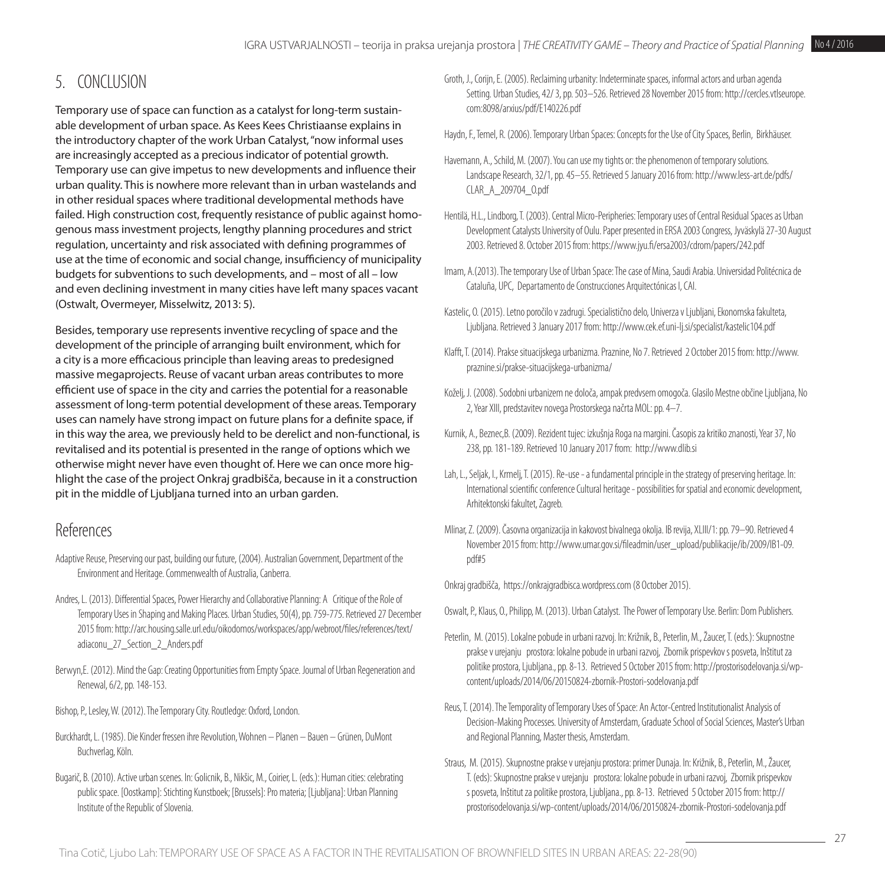# 5. CONCLUSION

Temporary use of space can function as a catalyst for long-term sustainable development of urban space. As Kees Kees Christiaanse explains in the introductory chapter of the work Urban Catalyst, "now informal uses are increasingly accepted as a precious indicator of potential growth. Temporary use can give impetus to new developments and influence their urban quality. This is nowhere more relevant than in urban wastelands and in other residual spaces where traditional developmental methods have failed. High construction cost, frequently resistance of public against homogenous mass investment projects, lengthy planning procedures and strict regulation, uncertainty and risk associated with defining programmes of use at the time of economic and social change, insufficiency of municipality budgets for subventions to such developments, and – most of all – low and even declining investment in many cities have left many spaces vacant (Ostwalt, Overmeyer, Misselwitz, 2013: 5).

Besides, temporary use represents inventive recycling of space and the development of the principle of arranging built environment, which for a city is a more efficacious principle than leaving areas to predesigned massive megaprojects. Reuse of vacant urban areas contributes to more efficient use of space in the city and carries the potential for a reasonable assessment of long-term potential development of these areas. Temporary uses can namely have strong impact on future plans for a definite space, if in this way the area, we previously held to be derelict and non-functional, is revitalised and its potential is presented in the range of options which we otherwise might never have even thought of. Here we can once more highlight the case of the project Onkraj gradbišča, because in it a construction pit in the middle of Ljubljana turned into an urban garden.

## References

- Adaptive Reuse, Preserving our past, building our future, (2004). Australian Government, Department of the Environment and Heritage. Commenwealth of Australia, Canberra.
- Andres, L. (2013). Differential Spaces, Power Hierarchy and Collaborative Planning: A Critique of the Role of Temporary Uses in Shaping and Making Places. Urban Studies, 50(4), pp. 759-775. Retrieved 27 December 2015 from: [http://arc.housing.salle.url.edu/oikodomos/workspaces/app/webroot/files/references/text/](http://arc.housing.salle.url.edu/oikodomos/workspaces/app/webroot/files/references/text/adiaconu_27_Section_2_Anders.pdf) [adiaconu\\_27\\_Section\\_2\\_Anders.pdf](http://arc.housing.salle.url.edu/oikodomos/workspaces/app/webroot/files/references/text/adiaconu_27_Section_2_Anders.pdf)
- Berwyn,E. (2012). Mind the Gap: Creating Opportunities from Empty Space. Journal of Urban Regeneration and Renewal, 6/2, pp. 148-153.
- Bishop, P., Lesley, W. (2012). The Temporary City. Routledge: Oxford, London.
- Burckhardt, L. (1985). Die Kinder fressen ihre Revolution, Wohnen Planen Bauen Grünen, DuMont Buchverlag, Köln.
- Bugarič, B. (2010). Active urban scenes. In: Golicnik, B., Nikšic, M., Coirier, L. (eds.): Human cities: celebrating public space. [Oostkamp]: Stichting Kunstboek; [Brussels]: Pro materia; [Ljubljana]: Urban Planning Institute of the Republic of Slovenia.
- Groth, J., Corijn, E. (2005). Reclaiming urbanity: Indeterminate spaces, informal actors and urban agenda Setting. Urban Studies, 42/ 3, pp. 503–526. Retrieved 28 November 2015 from: [http://cercles.vtlseurope.](http://cercles.vtlseurope.com) [com:](http://cercles.vtlseurope.com)8098/arxius/pdf[/E140226.pdf](E140226.pdf)
- Haydn, F., Temel, R. (2006). Temporary Urban Spaces: Concepts for the Use of City Spaces, Berlin, Birkhäuser.
- Havemann, A., Schild, M. (2007). You can use my tights or: the phenomenon of temporary solutions. Landscape Research, 32/1, pp. 45–55. Retrieved 5 January 2016 from: [http://www.less-art.de/pdfs/](http://www.less-art.de/pdfs/CLAR_A_209704_O.pdf) [CLAR\\_A\\_209704\\_O.pdf](http://www.less-art.de/pdfs/CLAR_A_209704_O.pdf)
- Hentilä, H.L., Lindborg, T. (2003). Central Micro-Peripheries: Temporary uses of Central Residual Spaces as Urban Development Catalysts University of Oulu. Paper presented in ERSA 2003 Congress, Jyväskylä 27-30 August 2003. Retrieved 8. October 2015 from:<https://www.jyu.fi/ersa2003/cdrom/papers/242.pdf>
- Imam, A.(2013). The temporary Use of Urban Space: The case of Mina, Saudi Arabia. Universidad Politécnica de Cataluña, UPC, Departamento de Construcciones Arquitectónicas I, CAI.
- Kastelic, O. (2015). Letno poročilo v zadrugi. Specialistično delo, Univerza v Ljubljani, Ekonomska fakulteta, Ljubljana. Retrieved 3 January 2017 from:<http://www.cek.ef.uni-lj.si/specialist/kastelic104.pdf>
- Klafft, T. (2014). Prakse situacijskega urbanizma. Praznine, No 7. Retrieved 2 October 2015 from: [http://www.](http://www.praznine.si/prakse) [praznine.si/prakse](http://www.praznine.si/prakse)-situacijskega-urbanizma/
- Koželj, J. (2008). Sodobni urbanizem ne določa, ampak predvsem omogoča. Glasilo Mestne občine Ljubljana, No 2, Year XIII, predstavitev novega Prostorskega načrta MOL: pp. 4–7.
- Kurnik, A., Beznec,B. (2009). Rezident tujec: izkušnja Roga na margini. Časopis za kritiko znanosti, Year 37, No 238, pp. 181-189. Retrieved 10 January 2017 from: <http://www.dlib.si>
- Lah, L., Seljak, I., Krmelj, T. (2015). Re-use a fundamental principle in the strategy of preserving heritage. In: International scientific conference Cultural heritage - possibilities for spatial and economic development, Arhitektonski fakultet, Zagreb.
- Mlinar, Z. (2009). Časovna organizacija in kakovost bivalnega okolja. IB revija, XLIII/1: pp. 79–90. Retrieved 4 November 2015 from: [http://www.umar.gov.si/fileadmin/user\\_upload/publikacije/ib/2009/IB1-09.](http://www.umar.gov.si/fileadmin/user_upload/publikacije/ib/2009/IB1-09.pdf) [pdf#](http://www.umar.gov.si/fileadmin/user_upload/publikacije/ib/2009/IB1-09.pdf)5

Onkraj gradbišča, <https://onkrajgradbisca.wordpress.com> (8 October 2015).

- Oswalt, P., Klaus, O., Philipp, M. (2013). Urban Catalyst. The Power of Temporary Use. Berlin: Dom Publishers.
- Peterlin, M. (2015). Lokalne pobude in urbani razvoj. In: Križnik, B., Peterlin, M., Žaucer, T. (eds.): Skupnostne prakse v urejanju prostora: lokalne pobude in urbani razvoj, Zbornik prispevkov s posveta, Inštitut za politike prostora, Ljubljana., pp. 8-13. Retrieved 5 October 2015 from: [http://prostorisodelovanja.si/wp](http://prostorisodelovanja.si/wp-content/uploads/2014/06/20150824-zbornik-Prostori-sodelovanja.pdf)[content/uploads/2014/06/20150824-zbornik-Prostori-sodelovanja.pdf](http://prostorisodelovanja.si/wp-content/uploads/2014/06/20150824-zbornik-Prostori-sodelovanja.pdf)
- Reus, T. (2014). The Temporality of Temporary Uses of Space: An Actor-Centred Institutionalist Analysis of Decision-Making Processes. University of Amsterdam, Graduate School of Social Sciences, Master's Urban and Regional Planning, Master thesis, Amsterdam.
- Straus, M. (2015). Skupnostne prakse v urejanju prostora: primer Dunaja. In: Križnik, B., Peterlin, M., Žaucer, T. (eds): Skupnostne prakse v urejanju prostora: lokalne pobude in urbani razvoj, Zbornik prispevkov s posveta, Inštitut za politike prostora, Ljubljana., pp. 8-13. Retrieved 5 October 2015 from: [http://](http://prostorisodelovanja.si/wp-content/uploads/2014/06/20150824-zbornik-Prostori-sodelovanja.pdf) [prostorisodelovanja.si/wp-content/uploads/2014/06/20150824-zbornik-Prostori-sodelovanja.pdf](http://prostorisodelovanja.si/wp-content/uploads/2014/06/20150824-zbornik-Prostori-sodelovanja.pdf)